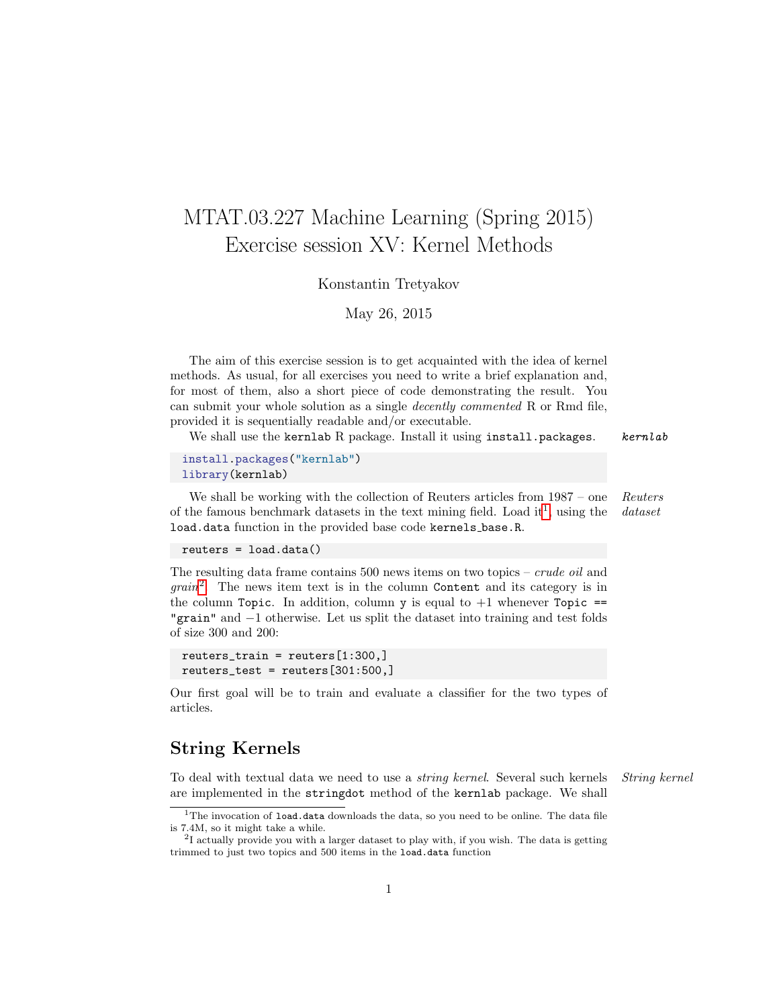# MTAT.03.227 Machine Learning (Spring 2015) Exercise session XV: Kernel Methods

Konstantin Tretyakov

May 26, 2015

The aim of this exercise session is to get acquainted with the idea of kernel methods. As usual, for all exercises you need to write a brief explanation and, for most of them, also a short piece of code demonstrating the result. You can submit your whole solution as a single decently commented R or Rmd file, provided it is sequentially readable and/or executable.

We shall use the kernlab R package. Install it using install.packages.  $kenlab$ 

install.packages("kernlab") library(kernlab)

We shall be working with the collection of Reuters articles from  $1987 -$  one Reuters of the famous benchmark datasets in the text mining field. Load it<sup>[1](#page-0-0)</sup>, using the dataset load.data function in the provided base code kernels\_base.R.

reuters = load.data()

The resulting data frame contains 500 news items on two topics – crude oil and  $grain<sup>2</sup>$  $grain<sup>2</sup>$  $grain<sup>2</sup>$ . The news item text is in the column Content and its category is in the column Topic. In addition, column  $y$  is equal to  $+1$  whenever Topic == "grain" and −1 otherwise. Let us split the dataset into training and test folds of size 300 and 200:

```
reuters_train = reuters[1:300,]
reuters_test = reuters[301:500,]
```
Our first goal will be to train and evaluate a classifier for the two types of articles.

### String Kernels

To deal with textual data we need to use a string kernel. Several such kernels String kernel are implemented in the stringdot method of the kernlab package. We shall

<span id="page-0-0"></span> $1$ The invocation of load.data downloads the data, so you need to be online. The data file is 7.4M, so it might take a while.

<span id="page-0-1"></span><sup>&</sup>lt;sup>2</sup>I actually provide you with a larger dataset to play with, if you wish. The data is getting trimmed to just two topics and 500 items in the load.data function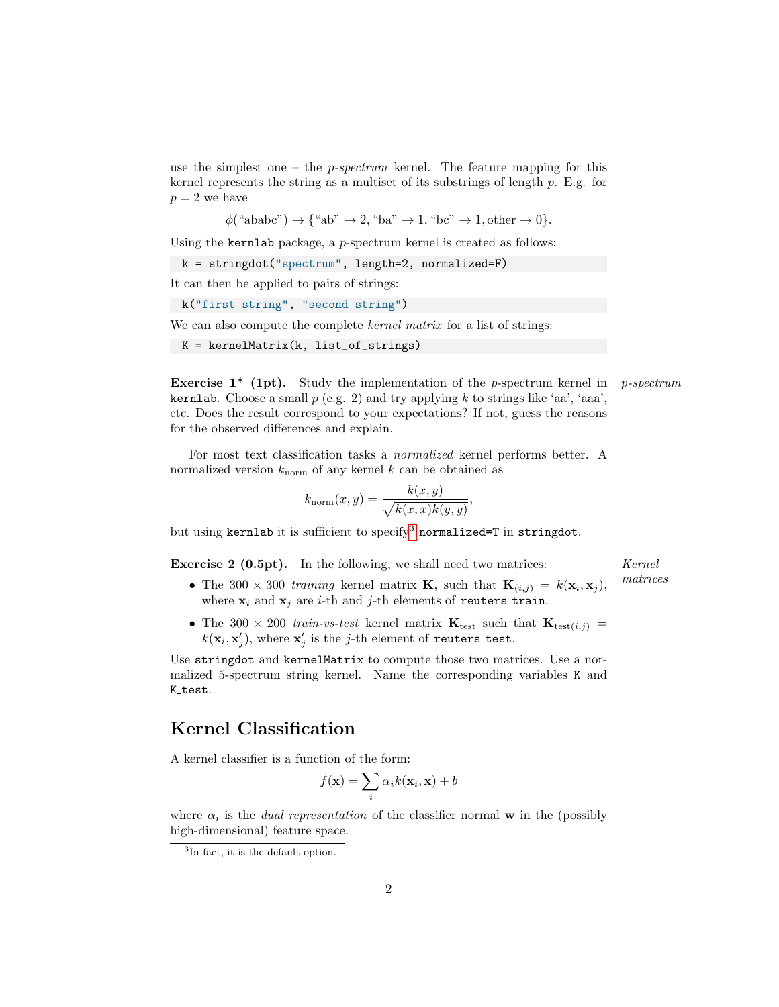use the simplest one – the  $p$ -spectrum kernel. The feature mapping for this kernel represents the string as a multiset of its substrings of length p. E.g. for  $p = 2$  we have

 $\phi$ ("ababc")  $\rightarrow$  {"ab"  $\rightarrow$  2, "ba"  $\rightarrow$  1, "bc"  $\rightarrow$  1, other  $\rightarrow$  0}.

Using the kernlab package, a p-spectrum kernel is created as follows:

k = stringdot("spectrum", length=2, normalized=F)

It can then be applied to pairs of strings:

k("first string", "second string")

We can also compute the complete *kernel matrix* for a list of strings:

 $K =$  kernelMatrix(k, list\_of\_strings)

**Exercise 1\*** (1pt). Study the implementation of the p-spectrum kernel in p-spectrum **kernlab.** Choose a small  $p$  (e.g. 2) and try applying k to strings like 'aa', 'aaa', etc. Does the result correspond to your expectations? If not, guess the reasons for the observed differences and explain.

For most text classification tasks a normalized kernel performs better. A normalized version  $k_{\text{norm}}$  of any kernel k can be obtained as

$$
k_{\text{norm}}(x, y) = \frac{k(x, y)}{\sqrt{k(x, x)k(y, y)}},
$$

but using kernlab it is sufficient to specify<sup>[3](#page-1-0)</sup> normalized=T in stringdot.

**Exercise 2 (0.5pt).** In the following, we shall need two matrices: *Kernel* 

matrices

- The 300 × 300 training kernel matrix **K**, such that  $\mathbf{K}_{(i,j)} = k(\mathbf{x}_i, \mathbf{x}_j)$ , where  $\mathbf{x}_i$  and  $\mathbf{x}_j$  are *i*-th and *j*-th elements of reuters\_train.
- The 300  $\times$  200 train-vs-test kernel matrix  $\mathbf{K}_{\text{test}}$  such that  $\mathbf{K}_{\text{test}(i,j)}$  =  $k(\mathbf{x}_i, \mathbf{x}'_j)$ , where  $\mathbf{x}'_j$  is the j-th element of reuters\_test.

Use stringdot and kernelMatrix to compute those two matrices. Use a normalized 5-spectrum string kernel. Name the corresponding variables K and K\_test.

### Kernel Classification

A kernel classifier is a function of the form:

$$
f(\mathbf{x}) = \sum_{i} \alpha_i k(\mathbf{x}_i, \mathbf{x}) + b
$$

where  $\alpha_i$  is the *dual representation* of the classifier normal **w** in the (possibly high-dimensional) feature space.

<span id="page-1-0"></span><sup>&</sup>lt;sup>3</sup>In fact, it is the default option.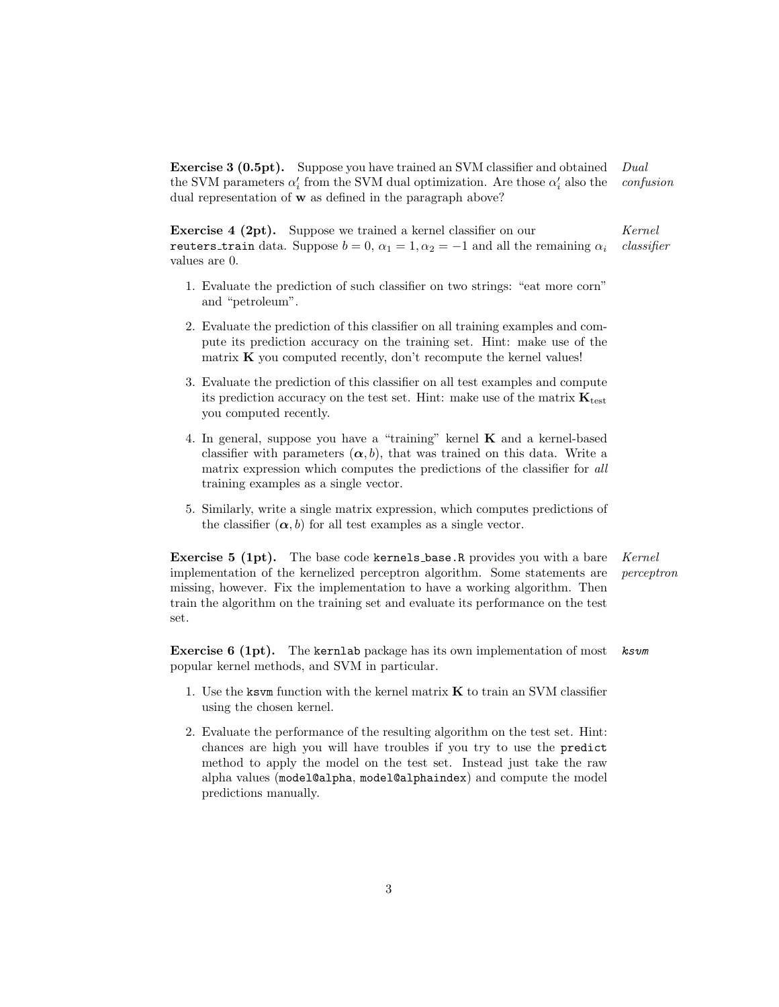Exercise 3 (0.5pt). Suppose you have trained an SVM classifier and obtained Dual the SVM parameters  $\alpha'_i$  from the SVM dual optimization. Are those  $\alpha'_i$  also the *confusion* dual representation of w as defined in the paragraph above?

**Exercise 4 (2pt).** Suppose we trained a kernel classifier on our Kernel reuters train data. Suppose  $b = 0$ ,  $\alpha_1 = 1$ ,  $\alpha_2 = -1$  and all the remaining  $\alpha_i$  classifier values are 0.

- 1. Evaluate the prediction of such classifier on two strings: "eat more corn" and "petroleum".
- 2. Evaluate the prediction of this classifier on all training examples and compute its prediction accuracy on the training set. Hint: make use of the matrix  $K$  you computed recently, don't recompute the kernel values!
- 3. Evaluate the prediction of this classifier on all test examples and compute its prediction accuracy on the test set. Hint: make use of the matrix  $\mathbf{K}_{\text{test}}$ you computed recently.
- 4. In general, suppose you have a "training" kernel K and a kernel-based classifier with parameters  $(\alpha, b)$ , that was trained on this data. Write a matrix expression which computes the predictions of the classifier for all training examples as a single vector.
- 5. Similarly, write a single matrix expression, which computes predictions of the classifier  $(\alpha, b)$  for all test examples as a single vector.

**Exercise 5 (1pt).** The base code kernels base. R provides you with a bare Kernel implementation of the kernelized perceptron algorithm. Some statements are perceptron missing, however. Fix the implementation to have a working algorithm. Then train the algorithm on the training set and evaluate its performance on the test set.

Exercise 6 (1pt). The kernlab package has its own implementation of most ksvm popular kernel methods, and SVM in particular.

- 1. Use the ksvm function with the kernel matrix  $K$  to train an SVM classifier using the chosen kernel.
- 2. Evaluate the performance of the resulting algorithm on the test set. Hint: chances are high you will have troubles if you try to use the predict method to apply the model on the test set. Instead just take the raw alpha values (model@alpha, model@alphaindex) and compute the model predictions manually.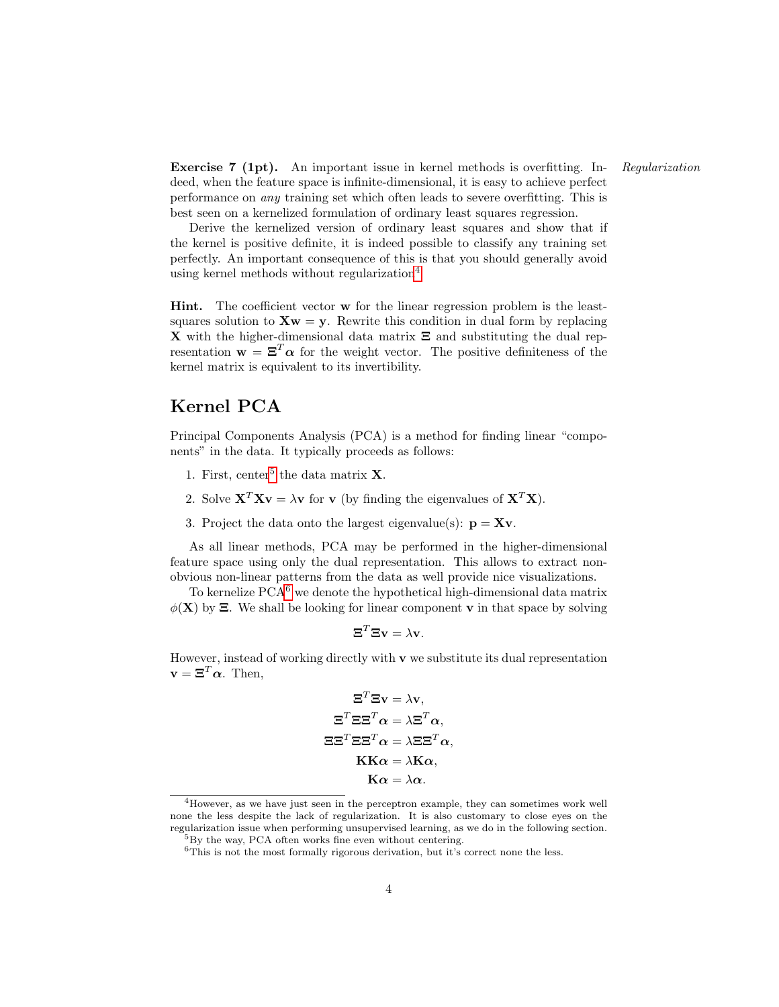Exercise 7 (1pt). An important issue in kernel methods is overfitting. In- Regularization deed, when the feature space is infinite-dimensional, it is easy to achieve perfect performance on any training set which often leads to severe overfitting. This is best seen on a kernelized formulation of ordinary least squares regression.

Derive the kernelized version of ordinary least squares and show that if the kernel is positive definite, it is indeed possible to classify any training set perfectly. An important consequence of this is that you should generally avoid using kernel methods without regularization $4$ 

Hint. The coefficient vector w for the linear regression problem is the leastsquares solution to  $Xw = y$ . Rewrite this condition in dual form by replacing **X** with the higher-dimensional data matrix  $\Xi$  and substituting the dual representation  $\mathbf{w} = \mathbf{\Xi}^T \boldsymbol{\alpha}$  for the weight vector. The positive definiteness of the kernel matrix is equivalent to its invertibility.

## Kernel PCA

Principal Components Analysis (PCA) is a method for finding linear "components" in the data. It typically proceeds as follows:

- 1. First, center<sup>[5](#page-3-1)</sup> the data matrix  $X$ .
- 2. Solve  $X^T Xv = \lambda v$  for v (by finding the eigenvalues of  $X^T X$ ).
- 3. Project the data onto the largest eigenvalue(s):  $\mathbf{p} = \mathbf{X}\mathbf{v}$ .

As all linear methods, PCA may be performed in the higher-dimensional feature space using only the dual representation. This allows to extract nonobvious non-linear patterns from the data as well provide nice visualizations.

To kernelize  $PCA<sup>6</sup>$  $PCA<sup>6</sup>$  $PCA<sup>6</sup>$  we denote the hypothetical high-dimensional data matrix  $\phi(\mathbf{X})$  by  $\Xi$ . We shall be looking for linear component **v** in that space by solving

$$
\mathbf{\Xi}^T \mathbf{\Xi} \mathbf{v} = \lambda \mathbf{v}.
$$

However, instead of working directly with  $\bf{v}$  we substitute its dual representation  $\mathbf{v} = \mathbf{\Xi}^T \boldsymbol{\alpha}$ . Then,

$$
\Xi^T \Xi \mathbf{v} = \lambda \mathbf{v},
$$

$$
\Xi^T \Xi \Xi^T \alpha = \lambda \Xi^T \alpha,
$$

$$
\Xi \Xi^T \Xi \Xi^T \alpha = \lambda \Xi \Xi^T \alpha,
$$

$$
\mathbf{KK}\alpha = \lambda \mathbf{K}\alpha,
$$

$$
\mathbf{K}\alpha = \lambda \alpha.
$$

<span id="page-3-0"></span><sup>4</sup>However, as we have just seen in the perceptron example, they can sometimes work well none the less despite the lack of regularization. It is also customary to close eyes on the regularization issue when performing unsupervised learning, as we do in the following section. <sup>5</sup>By the way, PCA often works fine even without centering.

<span id="page-3-1"></span>

<span id="page-3-2"></span> $6$ This is not the most formally rigorous derivation, but it's correct none the less.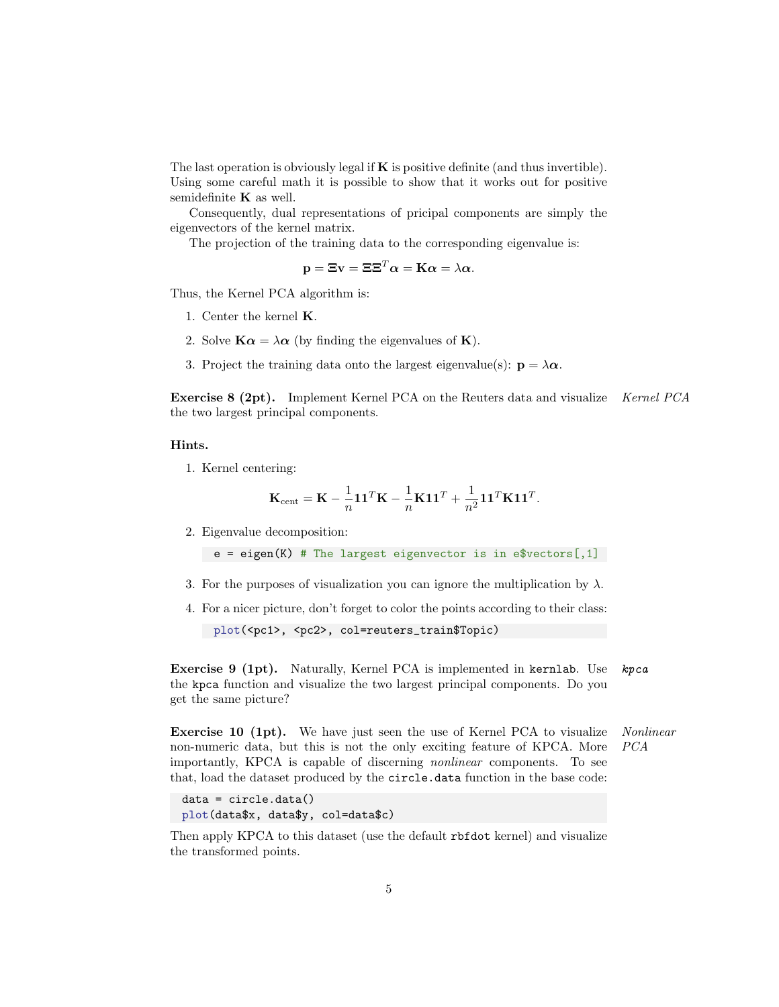The last operation is obviously legal if  $\bf{K}$  is positive definite (and thus invertible). Using some careful math it is possible to show that it works out for positive semidefinite  $\bf{K}$  as well.

Consequently, dual representations of pricipal components are simply the eigenvectors of the kernel matrix.

The projection of the training data to the corresponding eigenvalue is:

$$
\mathbf{p} = \mathbf{\Xi}\mathbf{v} = \mathbf{\Xi}\mathbf{\Xi}^T\boldsymbol{\alpha} = \mathbf{K}\boldsymbol{\alpha} = \lambda\boldsymbol{\alpha}.
$$

Thus, the Kernel PCA algorithm is:

- 1. Center the kernel K.
- 2. Solve  $\mathbf{K}\alpha = \lambda \alpha$  (by finding the eigenvalues of **K**).
- 3. Project the training data onto the largest eigenvalue(s):  $\mathbf{p} = \lambda \alpha$ .

Exercise 8 (2pt). Implement Kernel PCA on the Reuters data and visualize Kernel PCA the two largest principal components.

#### Hints.

1. Kernel centering:

$$
\mathbf{K}_{\text{cent}} = \mathbf{K} - \frac{1}{n} \mathbf{1} \mathbf{1}^T \mathbf{K} - \frac{1}{n} \mathbf{K} \mathbf{1} \mathbf{1}^T + \frac{1}{n^2} \mathbf{1} \mathbf{1}^T \mathbf{K} \mathbf{1} \mathbf{1}^T.
$$

2. Eigenvalue decomposition:

 $e = eigen(K)$  # The largest eigenvector is in e\$vectors[,1]

- 3. For the purposes of visualization you can ignore the multiplication by  $\lambda$ .
- 4. For a nicer picture, don't forget to color the points according to their class:

plot(<pc1>, <pc2>, col=reuters\_train\$Topic)

Exercise 9 (1pt). Naturally, Kernel PCA is implemented in kernlab. Use kpca the kpca function and visualize the two largest principal components. Do you get the same picture?

Exercise 10 (1pt). We have just seen the use of Kernel PCA to visualize Nonlinear non-numeric data, but this is not the only exciting feature of KPCA. More PCA importantly, KPCA is capable of discerning nonlinear components. To see that, load the dataset produced by the circle.data function in the base code:

```
data = circle.data()
plot(data$x, data$y, col=data$c)
```
Then apply KPCA to this dataset (use the default rbfdot kernel) and visualize the transformed points.